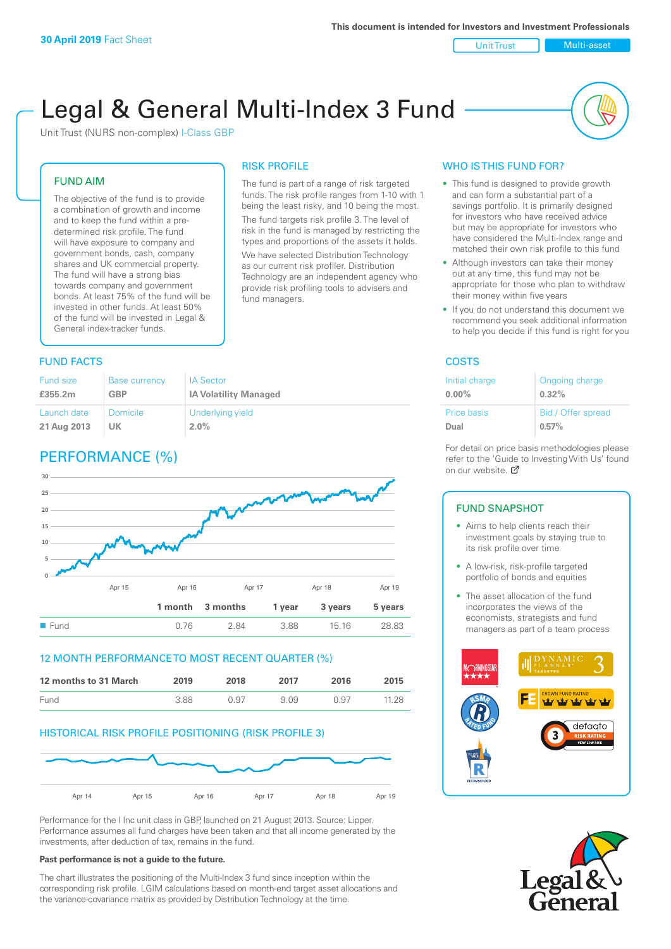Unit Trust Multi-asset

# Legal & General Multi-Index 3 Fund

RISK PROFILE

fund managers.

The fund is part of a range of risk targeted funds. The risk profile ranges from 1-10 with 1 being the least risky, and 10 being the most. The fund targets risk profile 3. The level of risk in the fund is managed by restricting the types and proportions of the assets it holds. We have selected Distribution Technology as our current risk profiler. Distribution Technology are an independent agency who provide risk profiling tools to advisers and

Unit Trust (NURS non-complex) I-Class GBP

#### FUND AIM

The objective of the fund is to provide a combination of growth and income and to keep the fund within a predetermined risk profile. The fund will have exposure to company and government bonds, cash, company shares and UK commercial property. The fund will have a strong bias towards company and government bonds. At least 75% of the fund will be invested in other funds. At least 50% of the fund will be invested in Legal & General index-tracker funds.

#### **FUND FACTS** COSTS

| Fund size   | Base currency   | <b>IA Sector</b>             |
|-------------|-----------------|------------------------------|
| £355.2m     | <b>GBP</b>      | <b>IA Volatility Managed</b> |
| Launch date | <b>Domicile</b> | Underlying yield             |
| 21 Aug 2013 | UK              | $2.0\%$                      |

# PERFORMANCE (%)



#### 12 MONTH PERFORMANCE TO MOST RECENT QUARTER (%)

| 12 months to 31 March | 2019 | 2018 | 2017 | 2016 | 2015  |
|-----------------------|------|------|------|------|-------|
| <b>Fund</b>           | 3.88 | N 97 | 909  | በ 97 | 11.28 |

#### HISTORICAL RISK PROFILE POSITIONING (RISK PROFILE 3)



Performance for the I Inc unit class in GBP, launched on 21 August 2013. Source: Lipper. Performance assumes all fund charges have been taken and that all income generated by the investments, after deduction of tax, remains in the fund.

#### **Past performance is not a guide to the future.**

The chart illustrates the positioning of the Multi-Index 3 fund since inception within the corresponding risk profile. LGIM calculations based on month-end target asset allocations and the variance-covariance matrix as provided by Distribution Technology at the time.

#### WHO IS THIS FUND FOR?

- This fund is designed to provide growth and can form a substantial part of a savings portfolio. It is primarily designed for investors who have received advice but may be appropriate for investors who have considered the Multi-Index range and matched their own risk profile to this fund
- Although investors can take their money out at any time, this fund may not be appropriate for those who plan to withdraw their money within five years
- If you do not understand this document we recommend you seek additional information to help you decide if this fund is right for you

| Initial charge | Ongoing charge     |
|----------------|--------------------|
| $0.00\%$       | 0.32%              |
| Price basis    | Bid / Offer spread |
| Dual           | 0.57%              |

For detail on price basis methodologies please refer to the 'Gu[ide t](http://www.legalandgeneral.com/guide)o Investing With Us' found on our website. *P* 

#### FUND SNAPSHOT

- Aims to help clients reach their investment goals by staying true to its risk profile over time
- A low-risk, risk-profile targeted portfolio of bonds and equities
- The asset allocation of the fund incorporates the views of the economists, strategists and fund managers as part of a team process



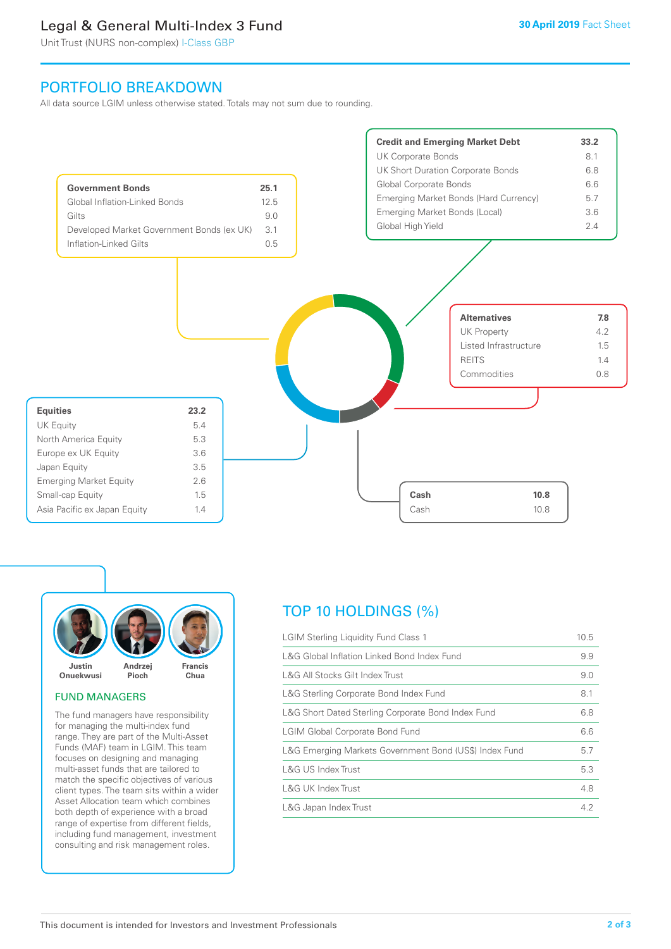# Legal & General Multi-Index 3 Fund

Unit Trust (NURS non-complex) I-Class GBP

## PORTFOLIO BREAKDOWN

All data source LGIM unless otherwise stated. Totals may not sum due to rounding.





#### FUND MANAGERS

The fund managers have responsibility for managing the multi-index fund range. They are part of the Multi-Asset Funds (MAF) team in LGIM. This team focuses on designing and managing multi-asset funds that are tailored to match the specific objectives of various client types. The team sits within a wider Asset Allocation team which combines both depth of experience with a broad range of expertise from different fields, including fund management, investment consulting and risk management roles.

# TOP 10 HOLDINGS (%)

| <b>LGIM Sterling Liquidity Fund Class 1</b>            | 10.5 |
|--------------------------------------------------------|------|
| L&G Global Inflation Linked Bond Index Fund            | 9.9  |
| L&G All Stocks Gilt Index Trust                        | 9.0  |
| L&G Sterling Corporate Bond Index Fund                 | 8.1  |
| L&G Short Dated Sterling Corporate Bond Index Fund     | 6.8  |
| <b>LGIM Global Corporate Bond Fund</b>                 | 6.6  |
| L&G Emerging Markets Government Bond (US\$) Index Fund | 5.7  |
| <b>L&amp;G US Index Trust</b>                          | 5.3  |
| L&G UK Index Trust                                     | 4.8  |
| L&G Japan Index Trust                                  | 4.2  |